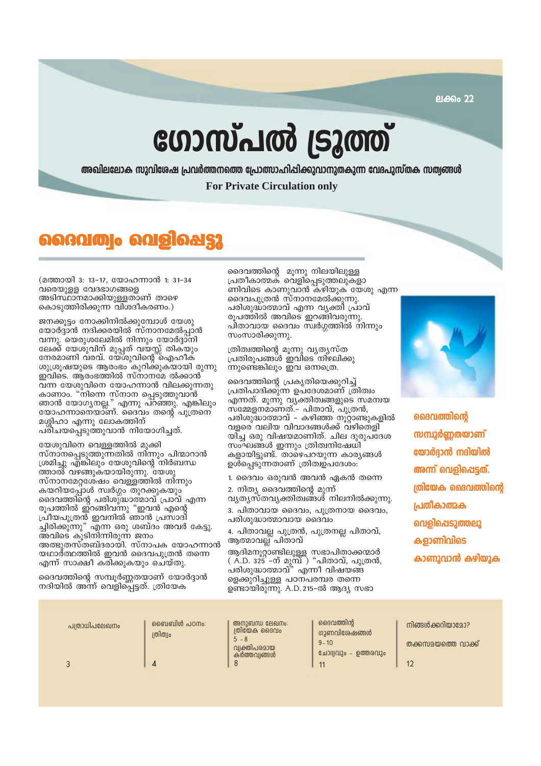ലക്കം 22

# ഗോസ്പൽ ട്രൂത്ത്

അഖിലലോക സുവിശേഷ പ്രവർത്തനത്തെ പ്രോത്സാഹിപ്പിക്കുവാനുതകുന്ന വേദപുസ്തക സത്വങ്ങൾ **For Private Circulation only** 

# റൈവത്വം വെളിപ്പെട്ടു

(മത്തായി 3: 13-17, യോഹന്നാൻ 1: 31-34 വരെയുളള വേദഭാഗങ്ങളെ അടിസ്ഥാനമാക്കിയുള്ളതാണ് താഴെ കൊടുത്തിരിക്കുന്ന വിശദീകരണം.)

ജനക്കുട്ടം നോക്കിനിൽക്കുമ്പോൾ യേശു യോർദ്ദാൻ നദിക്കരയിൽ സ്നാനമേൽപ്പാൻ വന്നു. യെരുശലേമിൽ നിന്നും യോർദാനി ലേക്ക് യേശുവിന് മുപ്പത് വയസ്സ് തികയും നേരമാണി വരവ്. യേശുവിന്റെ ഐഹീക ശുശ്രുഷയുടെ ആരംഭം കുറിക്കുകയായി രുന്നു ഇവിടെ. ആരംഭത്തിൽ സ്നാനമേ ൽക്കാൻ വന്ന യേശുവിനെ യോഹന്നാൻ വിലക്കുന്നതു കാണാം. "നിന്നെ സ്നാന പ്പെടുത്തുവാൻ ്താൻ യോഗ്യനല്ല." എന്നു പറഞ്ഞു. എങ്കിലും<br>യോഹന്നാനെയാണ്. ദൈവം തന്റെ പുത്രനെ മശ്ശിഹാ എന്നു ലോകത്തിന് പരിചയപ്പെടുത്തുവാൻ നിയോഗിച്ചത്.

യേശുവിനെ വെള്ളത്തിൽ മുക്കി സ്നാനപെടുത്തുന്നതിൽ നിന്നും പിന്മാറാൻ ശ്രമിച്ചു എ്ങ്കിലും യേശുവിന്റെ നിർബന്ധ ത്താൽ് വഴങ്ങുകയായിരുന്നു. 'യേശു സ്നാനമേറ്റശേഷം വെള്ളത്തിൽ നിന്നും കയറിയപ്പോൾ സ്വർഗ്ഗം തുറക്കുകയും ദൈവത്തിന്റെ പരിശുദ്ധാത്മാവ് പ്രാവ് എന്ന രൂപത്തിൽ ഇ്റങ്ങിവന്നു "ഇവൻ എന്റെ പ്രീയപുത്രൻ ഇവനിൽ ഞാൻ പ്രസാദി ച്ചിരിക്കുന്നു" എന്ന ഒരു ശബ്ദം അവർ കേട്ടു. അവിടെ കുടിനിന്നിരുന്ന ജനം അത്ഭുതസ്തബ്ദരായി. സ്നാപക യോഹന്നാൻ യഥാർത്ഥത്തിൽ ഇവൻ ദൈവപുത്രൻ തന്നെ എന്ന് സാക്ഷീ കരിക്കുകയും ചെയ്തു.

ദൈവത്തിന്റെ സമ്പൂർണ്ണതയാണ് യോർദ്ദാൻ നദിയിൽ അന്ന് വെളിപ്പെട്ടത്. ത്രിയേക

ദൈവത്തിന്റെ മൂന്നു നിലയിലുള്ള പ്രതീകാത്മക് വെളി്പ്പെടുത്തലുകളാ ണിവിടെ കാണുവാൻ കഴിയുക യേശു എന്ന ദൈവപൂത്രൻ സ്നാനമേൽക്കുന്നു. പരിശുദ്ധാത്മാവ് എന്ന വ്യക്തി പ്രാവ് രുപത്തിൽ അവിടെ ഇറങ്ങിവരുന്നു പിതാവായ ദൈവം സ്വർഗ്ഗത്തിൽ നിന്നും സംസാരിക്കുന്നു.

ത്രിത്വത്തിന്റെ മൂന്നു വ്യത്യസ്ത പ്രതിരൂപങ്ങൾ ഇവിടെ നിഴലിക്കു ന്നുണ്ടെങ്കിലും ഇവ ഒന്നത്രെ.

ദൈവത്തിന്റെ പ്രകൃതിയെക്കുറിച്ച് പ്രതിപാദിക്കുന്ന ഉപദേശമാണ് ത്രിത്വം എന്നത്. മൂന്നു വ്യക്തിത്വങ്ങളുടെ സമന്വയ സ്മ്മേളനമാണ്ത്.– പിതാവ്, പുത്രൻ,<br>പരിശുദ്ധാത്മാവ് – കഴിഞ്ഞ നൂറ്റാണ്ടുകളിൽ വളരെ വലിയ വിവാദങ്ങൾക്ക് വഴിതെളി യിച്ച ഒരു വിഷയമാണിത്. ചില ദുരുപദേശ സംഘങ്ങൾ ഇന്നും ത്രിത്വനിഷേധി കളായിടുണ്ട്. താഴെപറയുന്ന കാര്യങ്ങൾ ഉൾപ്പെടുന്നതാണ് ത്രിത്വഉപദേശം:

1. ദൈവം ഒരുവൻ അവൻ ഏകൻ തന്നെ

2. നിത്യ ദൈവത്തിന്റെ മുന്ന് വ്യത്യസ്തവ്യക്തിത്വങ്ങൾ നിലനിൽക്കുന്നു. 3. പിതാവായ ദൈവം, പുത്രനായ ദൈവം,

പരിശുദ്ധാത്മാവായ ദൈവം

4. പിതാവല്ല പുത്രൻ, പുത്രനല്ല പിതാവ്, ആത്മാവല്ല് പിതാവ്

ആദിമനൂറ്റാണ്ടിലുള്ള സഭാപിതാക്കന്മാർ<br>( A.D. 325 -ന് മുമ്പ് ) "പിതാവ്, പുത്രൻ, പരിശുദ്ധാത്മാവ്" എന്നീ വിഷയങ്ങ ളെക്കുറിച്ചുള്ള പഠനപരമ്പര തന്നെ ഉണ്ടായിരുന്നു. A.D.215-ൽ ആദ്യ സഭാ



ദൈവത്തിന്റെ *സമ്പൂർണ്ണതയാണ്* യോർദാൻ നദിയിൽ അന്ന് വെളിപ്പെട്ടത്. ത്രിയേക ദൈവത്തിന്റെ പ്രതീകാത്മക വെളിപ്പെടുത്തലു കളാണിവിടെ കാണുവാൻ കഴിയുക

| പത്രാധിപലേഖനം | ബൈബിൾ പഠനം:<br>ത്രിത്വം | അനുബന്ധ ലേഖനം:<br>ത്രിയേക ദൈവം<br>$5 - 8$<br>വ്വക്തിപരമായ<br>കർത്തവ്വങ്ങൾ | ദൈവത്തിൻ<br>ഗുണവിശേഷങ്ങൾ<br>$9 - 10$<br>ചോദ്വവും - ഉത്തരവും | നിങ്ങൾക്കറിയാമോ?<br>തക്കസമയത്തെ വാക്ക് |
|---------------|-------------------------|---------------------------------------------------------------------------|-------------------------------------------------------------|----------------------------------------|
|               |                         |                                                                           |                                                             |                                        |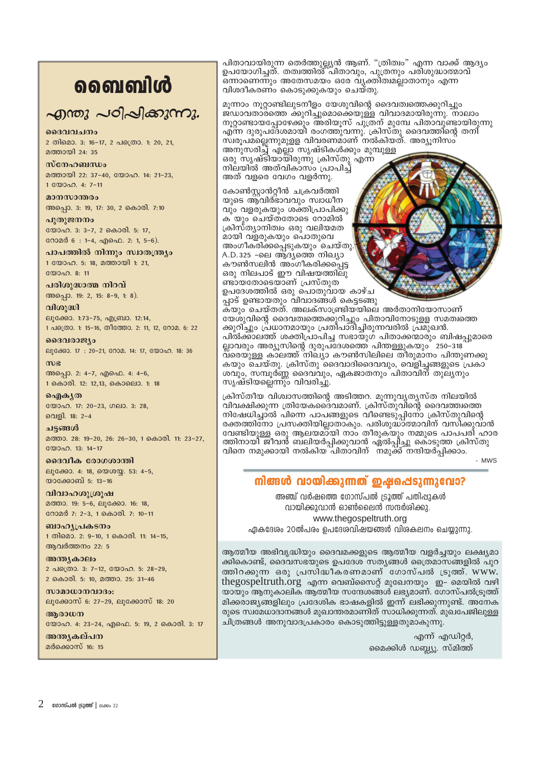# ൭ൈബിൾ

# എന്തു പഠിപ്പിക്കുന്നു.

# ദൈവവചനം

2 തിമൊ. 3: 16-17, 2 പത്രൊ. 1: 20, 21, മത്തായി 24 $\cdot$  35

# $m$  $\epsilon$  $n_{\alpha}$  $\alpha$  $m_{\alpha}$

മത്തായി 22: 37-40, യോഹ. 14: 21-23, 1 0000 0.4: 7-11

മാനസാന്തരം അപ്പൊ. 3: 19, 17: 30, 2 കൊരി. 7:10

പ്പതുജനനം യോഹ. 3: 3-7, 2 കൊരി. 5: 17, റോമർ 6 : 1-4, എഫെ. 2: 1, 5-6).

പാപത്തിൽ നിന്നും സ്വാതന്ത്ര്യം 1 യോഹ. 5: 18, മത്തായി 1: 21,

യോഹ. 8: 11

പരിശുദ്ധാത്മ നിറവ് അപ്പൊ. 19: 2, 15: 8-9, 1: 8).

വിശുദ്ധി ലൂക്കോ. 1:73-75, എബ്രാ. 12:14, 1 പത്രൊ. 1: 15-16, തീത്തോ. 2: 11, 12, റോമ. 6: 22

ദൈവരാജ്യം ലൂക്കോ. 17: 20-21, റോമ. 14: 17, യോഹ. 18: 36

 $m<sub>g</sub>$ അപ്പൊ. 2: 4-7, എഫെ. 4: 4-6, 1 കൊരി. 12: 12,13, കൊലൊ. 1: 18

ഐകൃത യോഹ. 17: 20-23, ഗലാ. 3: 28, വെളി. 18: 2-4

ചട്ടങ്ങൾ

മത്താ. 28: 19-20, 26: 26-30, 1 കൊരി. 11: 23-27, യോഹ. 13: 14-17

ദൈവീക രോഗശാന്തി ലൂക്കോ. 4: 18, യെശയ്യ. 53: 4-5, യാക്കോബ് 5: 13-16

വിവാഹശൂശ്രൂഷ മത്താ. 19: 5-6, ലൂക്കോ. 16: 18, റോമർ 7: 2-3, 1 കൊരി. 7: 10-11

ബാഹ്യപ്രകടനം 1 തിമൊ. 2: 9-10, 1 കൊരി. 11: 14-15, ആവർത്തനം 22: 5

അന്ത്യകാലം 2 പക്രൊ. 3: 7-12, യോഹ. 5: 28-29, 2 കൊരി. 5: 10, മത്താ. 25: 31-46

 $w$ ാമാധാനവാദം: ലൂക്കോസ് 6: 27-29, ലൂക്കോസ് 18: 20

ആരാധന

യോഹ. 4: 23-24, എഫെ. 5: 19, 2 കൊരി. 3: 17

അനുകല്പന മർക്കൊസ് 16: 15

പിതാവായിരുന്ന തെർത്തുല്ല്യൻ ആണ്. "ത്രിത്വം" എന്ന വാക്ക് ആദ്യം ഉപയോഗിച്ചത്. തത്വത്തിൽ പിതാവും, പുത്രനും പരിശുദ്ധാത്മാവ് ഒന്നാണെന്നും അതേസമയം ഒരേ വ്യക്തിത്വമല്ലാതാനും എന്ന വിശദീകരണ്ം കൊടുക്കുകയും ചെയ്തു.

മൂന്നാം നൂറ്റാണ്ടിലുടനീളം യേശുവിന്റെ ദൈവത്വത്തെക്കുറിച്ചും ജ്ഡാവതാ്രത്തെ ക്കുറിച്ചുമൊക്കെയുള്ള വിവാദമായിരുന്നു. നാലാം നൂറ്റാണ്ടായപ്പോഴേക്കും അരിയുസ് പുത്രന് മുമ്പേ പിതാവുണ്ടായിരുന്നു സ്ശൂപമ്ല്ലെന്നുമുളള വിവരണമാണ് നൽകിയത്. അര്യൂനിസം അനുസരിച്ച് എല്ലാ സൃഷ്ടികൾക്കും മുമ്പുള്ള ഒരു സൃഷ്ടിയായിരുന്നു ക്രിസ്തു എന്ന<br>നിലയിൽ അത്വികാസം പ്രാപിച്ച് അത് വളരെ വേഗം വളർന്നു.

കോൺസ്കാൻറ്റീൻ ചക്രവർത്തി യുടെ ആവിർഭാവവും സ്വാധീന വും വളരുകയും ശക്തിപ്രാപിക്കു ക യും ചെയ്തതോടെ റോമിൽ ക്രിസ്ത്യാനിത്വം ഒരു വലിയമത മായി വളരുകയും പൊതുവെ അംഗീകരിക്കപ്പെടുകയും്ചെയ്തു. A.D.325 -ലെ ആദ്യത്തെ നിഖ്യാ കൗൺസലിൻ അംഗീകരിക്കപ്പെട്ട ഒരു നിലപാട് ഈ വിഷയത്തിലു ണ്ടായതോടെയാണ് പ്രസ്തുത ഉപദേശത്തിൽ ഒരു പൊതുവായ കാഴ്ച

പ്പാട് ഉണ്ടായതും വിവാദങ്ങൾ കെട്ടടങ്ങു കയും ചെയ്തത്. അലക്സാണ്ട്രിയയിലെ അർതാനിയോസാണ് യേശുവിന്റെ ദൈവത്വത്തെക്കുറിച്ചും പിതാവിനോടുളള സമത്വത്തെ

ക്കുറി്ച്ചും പ്രധാനമായും പ്രതിപാദി്ച്ചിരുന്നവരിൽ പ്രമുഖൻ. പിൽക്കാലത്ത് ശക്തിപ്രാപിച്ച സഭായുഗ് പിതാക്കന്മാരും ബിഷപ്പുമാരെ ല്ലാവരും അര്യൂസിന്റെ ദുരുപ്ദേശത്തെ് പിന്തള്ളുകയും ് 250–318 വ്രെയുള്ള കാലത്ത് നിഖ്യാ കൗൺസിലിലെ തീരുമാനം പിന്തുണക്കു കയും ചെയ്തു. ക്രിസ്തു ദൈവാദിദൈവവും, വെളിച്ചങ്ങളുടെ പ്രകാ ശവും, സമ്പൂർണ്ണ ദൈവവും, ഏകജാതനും പിതാവിന് തുല്യനും സൃഷ്ടിയല്ലെന്നും വിവരിച്ചു.

ക്രിസ്തീയ വിശ്വാസത്തിന്റെ അടിത്തറ. മുന്നുവ്യത്യസ്ത നിലയിൽ വിവക്ഷിക്കുന്ന ത്രിയേക്കെദ്വമാണ്. ക്രിസ്തുവിന്റെ ദൈവത്ത്വത്തെ നിഷേധിച്ചാൽ പിന്നെ പാപങ്ങളുടെ വീണ്ടെടുപ്പിനോ ക്രിസ്തുവിന്റെ രക്തത്തിനോ പ്രസക്തിയില്ലാതാകും. പരിശുദ്ധാത്മാവിന് വസിക്കുവാൻ വേണ്ടിയുള്ള ഒരു ആലയമാ്യി നാം തീരുകയും നമ്മുടെ പാപപരി ഹാര ത്തിനായി ജീവൻ് ബലിയർപ്പിക്കുവാൻ ഏ്ൽപ്പിച്ചു കൊടുത്ത ക്രിസ്തു വിനെ നമുക്കായി നൽകിയ പിതാവിന് നമുക്ക് നന്ദിയർപ്പിക്കാം.

- MWS

# നിങ്ങൾ വായിക്കുന്നത് ഇഷപ്പെടുന്നുവോ?

അഞ്ച് വർഷത്തെ ഗോസ്പൽ ട്രൂത്ത് പതിപ്പുകൾ വായിക്കുവാൻ ഓൺലൈൻ സന്ദർശിക്കു. www.thegospeltruth.org ഏകദേശം 20ൽപരം ഉപദേശവിഷയങ്ങൾ വിശകലനം ചെയ്യുന്നു.

ആത്മീയ അഭിവൃദ്ധിയും ദൈവമക്കളുടെ ആത്മീയ വളർച്ചയും ലക്ഷ്യമാ ക്കികൊണ്ട്, ദൈവസഭയുടെ ഉപദേശ സതൃങ്ങൾ ത്രൈമാസങ്ങളിൽ പുറ ത്തിറക്കുന്ന ഒരു പ്രസിദ്ധീകരണമാണ് ഗോസ്പൽ ട്രൂത്ത്. www. thegospeltruth.org എന്ന വെബ്സൈറ്റ് മുഖേനയും ഇ- മെയിൽ വഴി യായും ആനുകാലിക ആത്മീയ സന്ദേശങ്ങൾ ലഭ്യമാണ്. ഗോസ്പൽട്രുത്ത് മിക്കരാജ്യങ്ങളിലും പ്രദേശിക ഭാഷകളിൽ ഇന്ന് ലഭിക്കുന്നുണ്ട്. അനേക രുടെ സ്വമേധാദാനങ്ങൾ മുഖാന്തരമാണിത് സാധിക്കുന്നത്. മുഖപേജിലുള്ള ചിത്രങ്ങൾ അനുവാദപ്രകാരം കൊടുത്തിട്ടുള്ളതുമാകുന്നു.

> എന്ന് എഡിറ്റർ, മൈക്കിൾ ഡബ്ല്യു. സ്മിത്ത്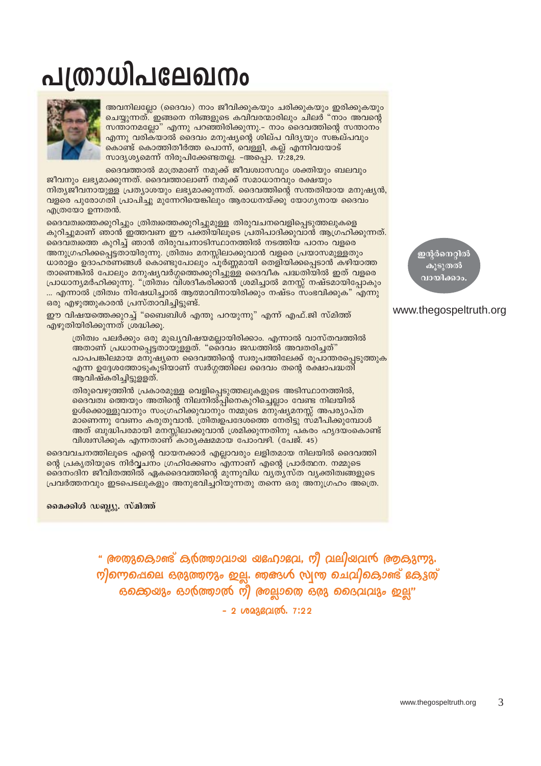# - 2 ഗാമുഭവ്രത്. 7:22

" അതുകൊണ്ട് കുർത്താവായ യഹോഭവ, നീ വലിയവൻ ആകുന്നു. றிறைவு வலு வரும் ஜா. தைக்கு முறு வெவில் வாக்கு வை ഒക്കെയും ഓർത്താൽ നീ അല്ലാതെ ഒരു ദൈവവും ഇല്ല"

# മൈക്കിൾ ഡബ്ല്യു. സ്മിത്ത്

ആവിഷ്കരിച്ചിട്ടുളളത്.

എത്രയോ ഉന്നതൻ.

ദൈവവചനത്തിലൂടെ എന്റെ വായനക്കാർ എല്ലാവരും ലളിതമായ നിലയിൽ ദൈവത്തി ന്റെ പ്രകൃതിയുടെ നിർവ്വചനം ഗ്രഹിക്കേണം എന്നാണ് എന്റെ പ്രാർത്ഥന. നമ്മുടെ ദ്വൈനംദിന ജീവിതത്തിൽ ഏകദൈവത്തിന്റെ മുന്നുവിധ വ്യത്യസ്ത വ്യക്തിത്വങ്ങളുടെ പ്രവർത്തനവും ഇടപെടലുകളും അനുഭവിച്ചറിയുന്നതു തന്നെ ഒരു അനുഗ്രഹം അത്രെ.

ദൈവത്വ ത്തെയും അതിന്റെ നിലനിൽപ്പിനെകുറിച്ചെല്ലാം വേണ്ട നിലയിൽ ഉൾക്കൊള്ളുവാനും സംഗ്രഹിക്കുവാനും നമ്മുടെ മനുഷ്യമനസ്സ് അപര്യാപ്ത മാണെന്നു വേണം കരുതുവാൻ. ത്രിത്വഉപദേശത്തെ നേരിട്ടു സമീപിക്കുമ്പോൾ അത് ബുദ്ധിപരമായി മനസ്സിലാക്കുവാൻ ശ്രമിക്കുന്നതിനു പകരം ഹൃദയംകൊണ്ട് വിശ്വസിക്കുക എന്നതാണ് കാര്യക്ഷമമായ പോംവഴി. (പേജ്. 45)

<u>എന്ന ഉദ്ദേശത്തോടുകൂടിയാണ് സ്വർഗ്ഗത്തിലെ ദൈവം തന്റെ രക്ഷാപദ്ധതി</u>

തിരുവെഴുത്തിൻ പ്രകാരമുള്ള വെളിപ്പെടുത്തലുകളുടെ അടിസ്ഥാനത്തിൽ,

എഴുതിയിരിക്കുന്നത് ശ്രദ്ധിക്കു.

ഈ വിഷയത്തെക്കുറച്ച് "ബൈബിൾ എന്തു പറയുന്നു" എന്ന് എഫ്.ജി സ്മിത്ത്

ത്രിത്വം പലർക്കും ഒരു മുഖ്യവിഷയമല്ലായിരിക്കാം. എന്നാൽ വാസ്തവത്തിൽ അതാണ് പ്രധാനപ്പെട്ടതായുളളത്. "ദൈവം ജഡത്തിൽ അവതരിച്ചത്"

... എന്നാൽ ത്രിത്വം നിഷേധിച്ചാൽ ആത്മാവിനായിരിക്കും നഷ്ടം സംഭവിക്കുക" എന്നു

പാപപങ്കിലമായ മനുഷ്യനെ ദൈവത്തിന്റെ സ്വരൂപത്തിലേക്ക് രൂപാന്തരപ്പെടുത്തുക

.<br>അവനിലല്ലോ (ദൈവം) നാം ജീവിക്കുകയും ചരിക്കുകയും ഇരിക്കുകയും ചെയ്യന്നത്. ഇങ്ങനെ നിങ്ങളുടെ കവിവരന്മാരിലും ചിലർ "നാം അവന്റെ സന്താനമല്ലോ" എന്നു പറഞ്ഞിരിക്കുന്നു.– നാം ദൈവത്തിന്റെ സന്താനം എന്നു വരികയാൽ ദൈവം മനുഷ്യന്റെ ശില്പ വിദ്യയും സങ്കല്പവും കൊണ്ട് കൊത്തിതീർത്ത പൊന്ന്, വെള്ളി, കല്ല് എന്നിവയോട്

ദൈവത്താൽ മാത്രമാണ് നമുക്ക് ജീവശ്വാസവും ശക്തിയും ബലവും

പ്രാധാന്യമർഹിക്കുന്നു. "ത്രിത്വം വിശദീകരിക്കാൻ ശ്രമിച്ചാൽ മനസ്സ് നഷ്ടമായിപ്പോകും ഒരു എഴുത്തുകാരൻ പ്രസ്താവിച്ചിട്ടുണ്ട്.

സാദൃശ്യമെന്ന് നിരൂപിക്കേണ്ടതല്ല. -അപ്പൊ. 17:28,29.

ദൈവത്വത്തെക്കുറിച്ചും ത്രിത്വത്തെക്കുറിച്ചുമുള്ള തിരുവചനവെളിപ്പെടുത്തലുകളെ കുറിച്ചുമാണ് ഞാൻ ഇത്തവണ ഈ പക്തിയിലൂടെ പ്രതിപാദിക്കുവാൻ ആഗ്രഹിക്കുന്നത്.

ദൈവത്വത്തെ കുറിച്ച് ഞാൻ തിരുവചനാടിസ്ഥാനത്തിൽ നടത്തിയ പഠനം വളരെ

നിത്യജീവനായുള്ള പ്രത്യാശയും ലഭ്യമാക്കുന്നത്. ദൈവത്തിന്റെ സന്തതിയായ മനുഷ്യൻ, വളരെ പുരോഗതി പ്രാപിച്ചു മുന്നേറിയെങ്കിലും ആരാധനയ്ക്കു യോഗൃനായ ദൈവം

ജീവനും ലഭ്യമാക്കുന്നത്. ദൈവത്താലാണ് നമുക്ക് സമാധാനവും രക്ഷയും

അനുഗ്രഹിക്കപ്പെട്ടതായിരുന്നു. ത്രിത്വം മനസ്സിലാക്കുവാൻ വളരെ പ്രയാസമുള്ളതും ധാരാളം ഉദാഹരണങ്ങൾ കൊണ്ടുപോലും പൂർണ്ണമായി തെളിയിക്കപ്പെടാൻ കഴിയാത്ത താണെങ്കിൽ പോലും മനുഷ്യവർഗ്ഗത്തെക്കുറിച്ചുള്ള ദൈവീക പദ്ധതിയിൽ ഇത് വളരെ

# www.thegospeltruth.org

ഇന്റർനെറ്റിൽ കൂടുതൽ വായിക്കാം



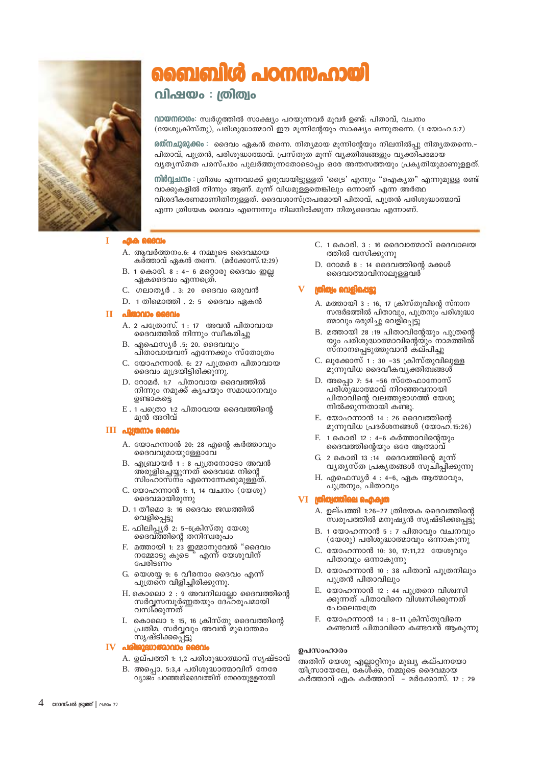

# ബൈബിൾ പഠനസഹായി

# വിഷയം : ത്രിത്വം

വായനഭാഗം: സ്വർഗ്ഗത്തിൽ സാക്ഷ്യം പറയുന്നവർ മുവർ ഉണ്ട്: പിതാവ്, വചനം (യേശുക്രിസ്തു), പരിശുദ്ധാത്മാവ് ഈ മൂന്നിന്റേയും സാക്ഷ്യം ഒന്നുതന്നെ. (1 യോഹ.5:7)

രത്നചുരുക്കം : ദൈവം ഏകൻ തന്നെ. നിത്യമായ മൂന്നിന്റേയും നിലനിൽപ്പു നിതൃതതന്നെ.– പിതാവ്, പുത്രൻ, പരിശുദ്ധാത്മാവ്. പ്രസ്തുത മൂന്ന് വ്യക്തിത്വങ്ങളും വ്യക്തിപരമായ വ്യത്യസ്തത പരസ്പരം പുലർത്തുന്നതോടൊപ്പം ഒരേ അന്തസത്തയും പ്രകൃതിയുമാണുളളത്.

നിർവ്വചനം : ത്രിത്വം എന്നവാക്ക് ഉരുവായിട്ടുള്ളത് 'ട്രൈ' എന്നും "ഐക്യത" എന്നുമുള്ള രണ്ട് വാക്കുകളിൽ നിന്നും ആണ്. മുന്ന് വിധമുള്ളതെങ്കിലും ഒന്നാണ് എന്ന അർത്ഥ വിശദീകരണമാണിതിനുള്ളത്. ദൈവശാസ്ത്രപരമായി പിതാവ്, പുത്രൻ പരിശുദ്ധാത്മാവ് എന്ന ത്രിയേക ദൈവം എന്നെന്നും നിലനിൽക്കുന്ന നിത്യദൈവം എന്നാണ്.

### T **GAA GGAN**

- A. ആവർത്തനം.6: 4 നമ്മുടെ ദൈവമായ കർത്താവ് ഏകൻ തന്നെ.  $(a\ddot{\theta} \cos \theta)$ . (മർക്കോസ്.12:29)
- B. 1 കൊരി. 8 : 4- 6 മറ്റൊരു ദൈവം ഇല്ല ഏകദൈവം എന്നത്രെ്.
- C. ഗലാതൃർ . 3: 20 ദൈവം ഒരുവൻ
- $D. 1$  തിമൊത്തി . 2: 5 ദൈവം ഏകൻ

# **II** പിന്നലും വൈം

- A. 2 പത്രോസ്. 1: 17 അവൻ പിതാവായ ദൈവത്തിൽ നിന്നും സ്വീകരിച്ചു
- B. എഫെസ്യർ .5: 20. ദൈവവും പിതാവായവന് എന്നേക്കും്സ്തോത്രം
- C. യോഹന്നാൻ. 6: 27 പുത്രനെ പിതാവായ ദൈവം മുദ്രയിട്ടിരിക്കുന്നു.
- $D.$  റോമർ. 1:7 പിതാവായ ദൈവത്തിൽ നിന്നും നമുക്ക് കൃപയും സമാധാനവും ഉണ്ടാകട്ടെ
- $E$ . 1 പത്രൊ 1:2 പിതാവായ ദൈവത്തിന്റെ മുൻ അറിവ്

# III പുത്രനാം ദൈവം

- A. യോഹന്നാൻ 20: 28 എന്റെ കർത്താവും ദൈവവുമായുള്ളോവേ
- B. എബ്രായർ 1 : 8 പുത്രനോടോ അവൻ അരുളിച്ചെയ്യുന്നത് ദൈവമേ നിന്റെ സിംഹാസ്നം എന്നെന്നേക്കുമുള്ളത്.
- C. യോഹന്നാൻ 1: 1, 14 വചനം (യേശു) ദൈവമായിരുന്നു
- D. 1 തീമൊ 3: 16 ദൈവം ജഡത്തിൽ വെളിപ്പെട്ടു
- E. ഫിലിപ്പ്യർ 2: 5-6ക്രിസ്തു യേശു ദൈവത്തിന്റെ തനിസ്വരു്പം
- F. മത്തായി 1: 23 ഇമ്മാനുവേൽ "ദൈവം<br>നമ്മോടു കൂടെ " എന്ന് യേശുവിന് പേരിടണ്ഠ
- G. യെശയ്യ 9: 6 വീരനാം ദൈവം എന്ന് പുത്രണെ വിളിച്ചിരിക്കുന്നു.
- H. കൊലൊ 2 : 9 അവനിലല്ലോ ദൈവത്തിന്റെ സർവ്വസമ്പൂർണ്ണതയും ദേഹരൂപമായി വസിക്കുന്നത്
- I. കൊലൊ 1: 15, 16 ക്രിസ്തു ദൈവത്തിന്റെ പ്രതിമ. സർവ്വവും അവൻ മുഖാന്തരം സൃഷ്ടിക്കപ്പെട്ടു

### $IV<sub>el</sub>$ രാദ്ധാത്മാവ

- A. ഉല്പത്തി 1: 1,2 പരിശുദ്ധാത്മാവ് സൃഷ്ടാവ്
- B. അപ്പൊ. 5:3,4 പരിശുദ്ധാത്മാവിന് നേരേ വ്യാജ്ച് പറഞ്ഞത്ദൈവത്തിന് നേരെയുള്ളതായി
- $C. 1$  കൊരി.  $3: 16$  ദൈവാത്മാവ് ദൈവാലയ ത്തിൽ വസിക്കുന്നു
- $D.$  റോമർ 8 : 14 ദൈവത്തിന്റെ മക്കൾ ദൈവാത്മാവിനാലുള്ളവർ

# ിത്യം വെളിപ്പെട്ടു

- A. മത്തായി 3 : 16, 17 ക്രിസ്തുവിന്റെ സ്നാന സന്ദർഭത്തിൽ പിതാവും, പുത്രനും പരിശുദ്ധാ ത്മാവും ഒരുമിച്ചു വെളിപ്പെട്ടു
- B. മത്തായി 28 :19 പിതാവിന്റേയും പുത്രന്റെ യും പരിശുദ്ധാത്മാവിന്റെയ്ും നാമത്തിൽ സ്നാനപ്പെടുത്തുവാൻ കല്പിച്ചു
- C. ലൂക്കോസ് 1 : 30 -35 ക്രിസ്തുവിലുള്ള മുന്നുവിധ ദൈവീകവ്യക്തിത്വങ്ങൾ
- D. അപ്പൊ 7: 54 -56 സ്തേഫാനോസ് പരിശുദ്ധാത്മാവ് നിറഞ്ഞവനായി പിതാവിന്റെ വലത്തുഭാഗത്ത് യേശു നിൽക്കുന്നതായി കണ്ടു.
- E. യോഹന്നാൻ 14 : 26 ദൈവത്തിന്റെ മൂന്നുവിധ പ്രദർശനങ്ങൾ (യോഹ്.15:26)
- F. 1 കൊരി 12 : 4-6 കർത്താവിന്റെയും ദൈവത്തിന്റെയും ഒരേ ആത്മാവ്
- G. 2 കൊരി 13 :14 ദൈവത്തിന്റെ മൂന്ന് വൃത്യസ്ത പ്രകൃതങ്ങൾ സൂചിപ്പിക്കുന്നു
- H. എഫെസ്യർ 4 : 4-6, ഏക ആത്മാവും, പുത്രനും, പിതാവും

# $VI$  [col

- A. ഉല്പത്തി 1:26-27 ത്രിയേക ദൈവത്തിന്റെ സ്വരൂപത്തിൽ മനുഷ്യൻ സൃഷ്ടിക്കപ്പെട്ടു
- B. 1 യോഹന്നാൻ 5 : 7 പിതാവും വചനവും (യേശു) പരിശുദ്ധാത്മാവും ഒന്നാകുന്നു
- C. യോഹന്നാൻ 10: 30, 17:11,22 യേശുവും പിതാവും ഒന്നാകുന്നു
- D. യോഹന്നാൻ 10 : 38 പിതാവ് പുത്രനിലും പുത്രൻ പിതാവിലും
- E. യോഹന്നാൻ 12 : 44 പുത്രനെ വിശ്വസി ക്കുന്നത് പിതാവിനെ വിശ്വസിക്കുന്നത് പോലെയത്രേ
- F. യോഹന്നാൻ 14 : 8–11 ക്രിസ്തുവിനെ കണ്ടവൻ പിതാവിനെ കണ്ടവൻ ആകുന്നു

# ഉപസംഹാരം

അതിന് യേശു എല്ലാറ്റിനും മുഖ്യ കല്പനയോ<br>യിസ്രായേലേ, കേൾക്ക, നമ്മുടെ ദൈവമായ കർത്താവ് ഏക കർത്താവ് – മർക്കോസ്. 12 : 29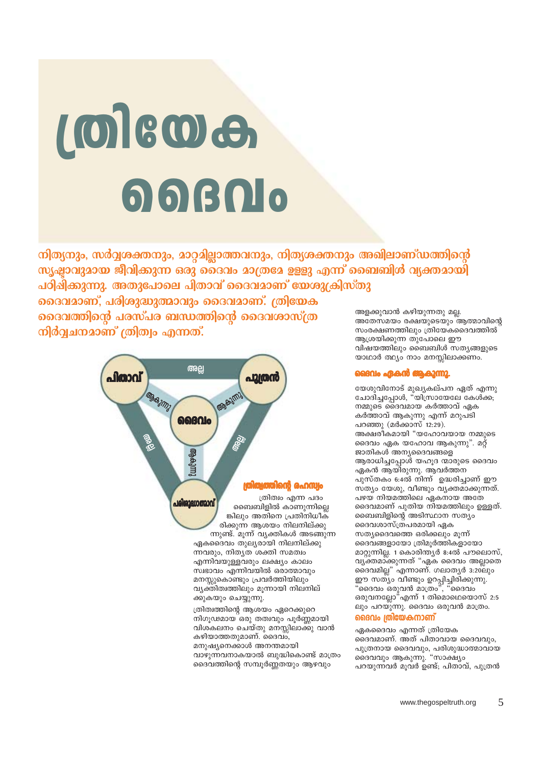ക്കുകയും ചെയ്യുന്നു. ത്രിത്വത്തിന്റെ ആശയം ഏറെക്കുറെ നിഗൂഢമായ ഒരു തത്വവും പൂർണ്ണമായി വിശകലനം ചെയ്തു മനസ്സിലാക്കു വാൻ കഴിയാത്തതുമാണ്. ദൈവം, മനുഷ്യനെക്കാൾ അനന്തമായി വാഴുന്നവനാകയാൽ ബുദ്ധികൊണ്ട് മാത്രം ദൈവത്തിന്റെ സമ്പൂർണ്ണതയും ആഴവും

പരിരാദ്ധാത്മാവ് രിക്കുന്ന ആശയം നിലനില്ക്കു ഏകദൈവം തുല്യരായി നിലനില്ക്കു ന്നവരും, നിതൃത് ശക്തി സമത്വം എന്നിവയുള്ളവരും ലക്ഷ്യം കാലം സ്വഭാവം എന്നിവയിൽ ഒരാത്മാവും മനസ്സുകൊണ്ടും പ്രവർത്തിയിലും വ്യക്തിത്വത്തിലും മൂന്നായി നിലനില്

**COSTAGE** ilago a<sub>e</sub>ogu ത്രിത്വം എന്ന പദം ബൈബിളിൽ കാണുന്നില്ലെ ങ്കിലും അതിനെ പ്രതിനിധീക് ന്നുണ്ട്. മൂന്ന് വൃക്തികൾ അടങ്ങുന്ന

അളക്കുവാൻ കഴിയുന്നതു മല്ല. അതേസമയം രക്ഷയുടെയും ആത്മാവിന്റെ സംരക്ഷണത്തിലും ത്രിയേകദൈവത്തിൽ

ആശ്രയിക്കുന്ന തുപോലെ ഈ വിഷയത്തിലും ബൈബിൾ സത്യങ്ങളുടെ യാഥാർ ത്ഥ്യം നാം മനസ്സിലാക്കണം.

# മൈ**പ്രെകൻ ആകുന്നു.**

യേശുവിനോട് മുഖ്യകല്പന ഏത് എന്നു ചോദിച്ചപ്പോൾ, "യിസ്രായേലേ കേൾക്ക; നമ്മുടെ ദൈവമായ കർത്താവ് ഏക കർത്താവ് ആകുന്നു എന്ന് മറുപടി പറഞ്ഞു  $(a\ddot{\theta}$ ക്കാസ് 12:29). അക്ഷരീകമായി "യഹോവയായ നമ്മുടെ ദൈവം ഏക യഹോവ ആകുന്നു". മറ്റ് ജാതികൾ അന്യദൈവങ്ങളെ ആരാധിച്ചപ്പോൾ യഹൂദ ന്മാരുടെ ദൈവം ഏകൻ ആയിരുന്നു. ആവർത്തന പുസ്തകം 6:4ൽ നിന്ന് ഉദ്ധരിച്ചാണ് ഈ സത്യം യേശു, വീണ്ടും വൃക്തമാക്കുന്നത്. പഴയ നിയമത്തിലെ ഏകനായ അതേ ദൈവമാണ് പുതിയ നിയമത്തിലും ഉള്ളത്. ബൈബിളിന്റെ അടിസ്ഥാന സത്യം ദൈവശാസ്ത്രപരമായി ഏക സത്യദൈവത്തെ ഒരിക്കലും മുന്ന് ദൈവങ്ങളായോ ത്രിമൂർത്തികളായോ മാറ്റുന്നില്ല. 1 കൊരിന്ത്യർ 8:4ൽ പൗലൊസ്, വൃക്തമാക്കുന്നത് "ഏക ദൈവം അല്ലാതെ ദൈവമില്ല" എന്നാണ്. ഗലാതൃർ 3:20ലും ഈ സത്യം വീണ്ടും ഉറപ്പിച്ചിരിക്കുന്നു. "ദൈവം ഒരുവൻ മാത്രം", "ദൈവം ഒരുവനല്ലോ"എന്ന് 1 തിമൊഥെയൊസ് 2:5 ലും പറയുന്നു. ദൈവം ഒരുവൻ മാത്രം.

# ദൈവം ത്രിയേകനാണ്

ഏകദൈവം എന്നത് ത്രിയേക

ദൈവവും ആകുന്നു. "സാക്ഷ്യം

ദൈവമാണ്. അത് പിതാവായ ദൈവവും,

പുത്രനായ ദൈവവും, പരിശുദ്ധാത്മാവായ

പറയുന്നവർ മുവർ ഉണ്ട്; പിതാവ്, പുത്രൻ

# **LOIGOG**  $\bigcirc$   $\bigcirc$   $\bigcirc$   $\bigcirc$

നിത്യനും, സർവ്വശക്തനും, മാറ്റമില്ലാത്തവനും, നിത്യശക്തനും അഖിലാണ്ഡത്തിന്റെ സൃഷ്ടാവുമായ ജീവിക്കുന്ന ഒരു ദൈവം മാത്രമേ ഉള്ളു എന്ന് ബൈബിൾ വ്യക്തമായി പഠിചിക്കുന്നു. അതുപോലെ പിതാവ് ദൈവമാണ് യേശുക്രിസ്തു

പൂത്രൻ

GRASIM

അല്ല

ൈക

ദൈവമാണ്, പരിശുദ്ധുത്മാവും ദൈവമാണ്. ത്രിയേക ദൈവത്തിന്റെ പരസ്പര ബന്ധത്തിന്റെ ദൈവശാസ്ത്ര

നിർവ്വചനമാണ് ത്രിത്വം എന്നത്.

പിതാവ്

**MOISSIM**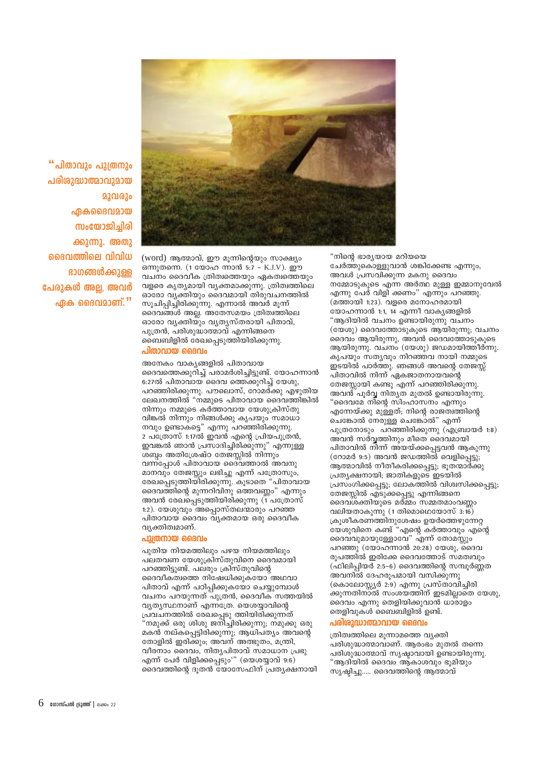പുതിയ നിയമത്തിലും പഴയ നിയമത്തിലും പലതവണ യേശുക്രിസ്തുവിനെ ദൈവമായി പറഞ്ഞിട്ടുണ്ട്. പലരും ക്രിസ്തുവിന്റെ ദൈവീകത്വത്തെ നിഷേധിക്കുകയോ അഥവാ പിതാവ് എന്ന് പഠിപ്പിക്കുകയോ ചെയ്യുമ്പോൾ വചനം പറയുന്നത് പുത്രൻ, ദൈവീക സത്തയിൽ വ്യത്യസ്ഥനാണ് എന്നത്രേ. യെശയാവിന്റെ പ്രവചനത്തിൽ രേഖപ്പെടു ത്തിയിരിക്കുന്നത് "നമുക്ക് ഒരു ശിശു ജനിച്ചിരിക്കുന്നു; നമുക്കു ഒരു മകൻ നല്ക്പ്പെട്ടിരിക്കുന്നു; ആധിപത്യം അവന്റെ തോളിൽ ഇരിക്കും, അവന് അത്ഭുതം, മന്ത്രി, വീരനാം ദൈവം, നിതൃപിതാവ് സമാധാന പ്രഭു എന്ന് പേർ വിളിക്കപ്പെടും'" (യെശയ്യാവ്  $9:6$ ) ദൈവത്തിന്റെ ദൂതൻ യോസേഫിന് പ്രത്യക്ഷനായി

# പുത്രനായ ദൈവം

അനേകം വാകൃങ്ങളിൽ പിതാവായ ദൈവത്തെക്കുറിച്ച് പരാമർശിച്ചിട്ടുണ്ട്. യോഹന്നാൻ 6:27ൽ പിതാവായ ദൈവ ത്തെക്കുറിച്ച് യേശു, പറഞ്ഞിരിക്കുന്നു. പൗലൊസ്, റോമർക്കു എഴുതിയ ലേഖനത്തിൽ "നമ്മുടെ പിതാവായ ദൈവത്തിങ്കിൽ നിന്നും നമ്മുടെ കർത്താവായ യേശുക്രിസ്തു വിങ്കൽ നിന്നും നിങ്ങൾക്കു കൃപയും സമാധാ നവും ഉണ്ടാകട്ടെ" എന്നു പറഞ്ഞിരിക്കുന്നു. 2 പത്രോസ് 1:17ൽ ഇവൻ എന്റെ പ്രിയപുത്രൻ, ഇവങ്കൽ ഞാൻ പ്രസാദിച്ചിരിക്കുന്നു" എന്നുള്ള ശബ്ദം അതിശ്രേഷ്ഠ തേജസ്സിൽ നിന്നും വന്ന്പോൾ പിതാവായ ദൈവത്താൽ അവനു മാനവും തേജസ്സും ലഭിച്ചു എന്ന് പത്രോസും, രേഖപ്പെടുത്തിയിരിക്കുന്നു. കൂടാതെ "പിതാവായ ദൈവത്തിന്റെ മുന്നറിവിനു ഒത്തവണ്ണം" എന്നും അവൻ രേഖപ്പെടുത്തിയിരിക്കുന്നു (1 പത്രോസ് 1:2). യേശുവും അപ്പൊസ്തലന്മാരും പറഞ്ഞ പിതാവായ ദൈവം വ്യക്തമായ ഒരു ദൈവീക വ്യക്തിത്വമാണ്.

## പിതാവായ ദൈവം

(word) അത്മാവ്. ഈ മുന്നിൻെയും സാക്ഷ്യം ഒന്നുതന്നെ. (1 യോഹ ന്നാൻ 5:7 – K.J.V). ഈ വചനം ദൈവീക ത്രിത്വത്തെയും ഏകത്വത്തെയും വളരെ കൃത്യമായി വ്യക്തമാക്കുന്നു. ത്രിത്വത്തിലെ ഓരോ വൃക്തിയും ദൈവമായി തിരുവചനത്തിൽ സൂചിപ്പിച്ചിരിക്കുന്നു. എന്നാൽ അവർ മുന്ന് ദൈവങ്ങൾ അല്ല. അതേസമയം ത്രിത്വത്തിലെ ഓരോ വൃക്തിയും വൃതൃസ്തരായി പിതാവ്, പുത്രൻ, പരിശുദ്ധാത്മാവ് എന്നിങ്ങനെ ബൈബിളിൽ രേഖപ്പെടുത്തിയിരിക്കുന്നു.

"നിന്റെ ഭാര്യയായ മറിയയെ ചേർത്തുകൊള്ളുവാൻ ശങ്കിക്കേണ്ട എന്നും. അവൾ പ്രസവിക്കുന്ന മകനു ദൈവം

നമ്മോടുകൂടെ എന്ന അർത്ഥ മുള്ള ഇമ്മാനുവേൽ എന്നു പേർ വിളി ക്കണം" എന്നും പറഞ്ഞു. (മത്തായി 1:23). വളരെ മനോഹരമായി യോഹന്നാൻ 1:1, 14 എന്നീ വാകൃങ്ങളിൽ "ആദിയിൽ വചനം ഉണ്ടായിരുന്നു വചനം (യേശു) ദൈവത്തോടുകൂടെ ആയിരുന്നു; വചനം ദൈവം ആയിരുന്നു, അവൻ ദൈവത്തോടുകൂടെ ആയിരുന്നു. വചനം (യേശു) ജഡമായിത്തീർന്നു. കൃപയും സത്യവും നിറഞ്ഞവ നായി നമ്മുടെ ഇടയിൽ പാർത്തു. ഞങ്ങൾ അവന്റെ തേജ്സ്റ്റ് പിതാവിൽ നിന്ന് ഏകജാതനായവന്റെ തേജസ്സായി കണ്ടു എന്ന് പറഞ്ഞിരിക്കുന്നു. അവന്മ് പൂർവ്വ നിത്യത മുതൽ ഉണ്ടായിരുന്നു. "ദൈവമേ നിന്റെ സിംഹാസനം എന്നും എന്നേയ്ക്കു മുള്ളത്; നിന്റെ രാജത്വത്തിന്റെ ചെങ്കോൽ നേരുള്ള ചെങ്കോൽ" എന്ന് പുത്രനോടും പറഞ്ഞിരിക്കുന്നു (എബ്രായർ 1:8) അവൻ സർവ്വത്തിനും മീതെ ദൈവമായി പിതാവിൽ നിന്ന് അയയ്ക്കപ്പെട്ടവൻ ആകുന്നു (റോമർ 9:5) അവൻ ജഡത്തിൽ വെളിപ്പെട്ടു; ആത്മാവിൽ നീതീകരിക്കപ്പെട്ടു; ഭൂതന്മാർക്കു പ്രത്യക്ഷനായി; ജാതികളുടെ ഇടയിൽ പ്രസംഗിക്കപ്പെട്ടു; ലോകത്തിൽ വിശ്വസിക്കപ്പെട്ടു; തേജസ്സിൽ എടുക്കപ്പെട്ടു എന്നിങ്ങനെ ദൈവശക്തിയുടെ മർമ്മം സമ്മതമാംവണ്ണം വലിയതാകുന്നു (1 തിമൊഥെയോസ്  $3:\overline{16}$ ) ക്രുശീകരണത്തിനുശേഷം ഉയർത്തെഴുന്നേറ്റ .<br>യേശുവിനെ കണ്ട<sup>്</sup>"എന്റെ കർത്താവും എന്റെ ദൈവവുമായുള്ളോവേ" എന്ന് തോമസ്സും പറഞ്ഞു (യോഹന്നാൻ 20:28) യേശു, ദൈവ രുപത്തിൽ ഇരിക്കേ ദൈവത്തോട് സമത്വവും (ഫിലിപ്പിയർ 2:5–6) ദൈവത്തിന്റെ സമ്പൂർണ്ണത അവനിൽ ദേഹരൂപമായി വസിക്കുന്നു (കൊലോസ്കൂർ 2:9) എന്നു പ്രസ്താവിച്ചിരി ക്കുന്നതിനാൽ സംശയത്തിന് ഇടമില്ലാതെ യേശു, ദൈവം എന്നു തെളിയിക്കുവാൻ ധാരാളം തെളിവുകൾ ബൈബിളിൽ ഉണ്ട്.

# പരിശുദ്ധാത്മാവായ ദൈവം

ത്രിത്വത്തിലെ മൂന്നാമത്തെ വ്യക്തി പരിശുദ്ധാത്മാവാണ്. ആരംഭം മുതൽ തന്നെ പരിശുദ്ധാത്മാവ് സൃഷ്ടാവായി ഉണ്ടായിരുന്നു. "ആദിയിൽ ദൈവം ആ്കാശവും ഭൂമിയും സൃഷ്ടിച്ചു..... ദൈവത്തിന്റെ ആത്മാവ്

"പിതാവും പുത്രനും പരിരുദ്ധാത്മാവുമായ 2201020 ഏകദൈവമായ സംയോജിച്ചിരി ക്കുന്നു. അതു ദൈവത്തിലെ വിവിധ ഭാഗങ്ങൾക്കുള്ള പേരുകൾ അല്ല, അവർ ഏക ദൈവമാണ്. $"$ 

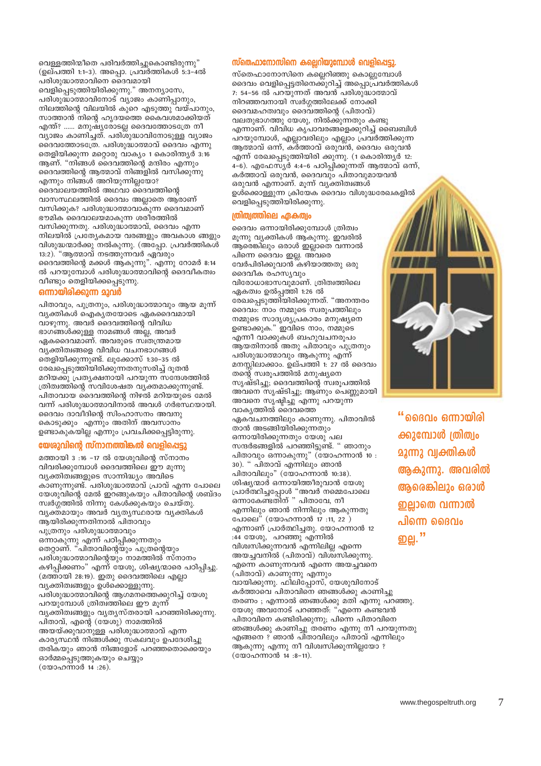നിറഞ്ഞവനായി സ്വർഗ്ഗത്തിലേക്ക് നോക്കി ദൈവമഹത്വവും ദൈവത്തിന്റെ (പിതാവ്) വലതുഭാഗത്തു യേശു, നിൽക്കുന്നതും കണ്ടു എന്നാണ്. വിവിധ കൃപാവരങ്ങളെക്കുറിച്ച് ബൈബിൾ പറയുമ്പോൾ, എല്ലാവരിലും എല്ലാം പ്രവർത്തിക്കുന്ന ആത്മാവ് ഒന്ന്, കര്ത്താവ് ഒരുവ്ൻ, ദൈവം ഒരുവൻ എന്ന് രേഖപ്പെടുത്തിയിരി ക്കുന്നു. (1 കൊരിന്ത്യർ 12: 4-6). എഫേസ്യർ 4:4-6 പഠിപ്പിക്കുന്നത് ആത്മാവ് ഒന്ന്, കർത്താവ് ഒരുവൻ, ദൈവവും പിതാവുമായവൻ ഒരുവൻ എന്നാണ്. മൂന്ന് വ്യക്തിത്വങ്ങൾ ഉൾക്കൊള്ളുന്ന ക്രിയേക ദൈവം വിശുദ്ധരേഖകളിൽ വെളിപ്പെടുത്തിയിരിക്കുന്നു.

ദൈവം വെളിപ്പെട്ടതിനെക്കുറിച്ച് അപ്പൊപ്രവർത്തികൾ

# ത്രിത്വത്തിലെ ഏകത്വം

ദൈവം ഒന്നായിരിക്കുമ്പോൾ ത്രിത്വം മുന്നു വ്യക്തികൾ ആകുന്നു. ഇവരിൽ ആരെങ്കിലും ഒരാൾ ഇല്ലാതെ വന്നാൽ പിന്നെ ദൈവം ഇല്ല. അ്വരെ വേർപിരിക്കുവാൻ കഴിയാത്തതു ഒരു ദൈവീക രഹസ്യവും വിരോധാഭാസവുമാണ്. ത്രിത്വത്തിലെ ഏകത്വം ഉൽപ്പത്തി 1:26 ൽ രേഖപ്പെടുത്തിയിരിക്കുന്നത്. "അനന്തരം ദൈവം: നാം നമ്മുടെ സ്വരുപത്തിലും നമ്മുടെ സാദൃശ്യപ്രകാരം മനുഷ്യനെ ഉണ്ടാക്കുക." ഇവിടെ നാം, നമ്മുടെ എന്നീ വാക്കുകൾ ബഹുവചനരുപം ആയതിനാൽ അതു പിതാവും പുത്രനും പരിശുദ്ധാത്മാവും ആകുന്നു എന്ന് മനസ്സിലാക്കാം. ഉല്പത്തി 1: 27 ൽ ദൈവം തന്റെ സ്വരൂപത്തിൽ മനുഷ്യനെ സൃഷ്ടിച്ചു; ദൈവത്തിന്റെ സ്വരൂപത്തിൽ അവനെ സൃഷ്ടിച്ചു; ആണും പെണ്ണുമായി അവനെ സൃഷ്ടിച്ചു എന്നു പറയുന്ന വാകൃത്തിൽ ദൈവത്തെ ഏകവചനത്തിലും കാണുന്നു. പിതാവിൽ താൻ അടങ്ങിയിരിക്കുന്നതും ഒന്നായിരിക്കുന്നതും യേശു പല സന്ദർഭങ്ങളിൽ പറഞ്ഞിട്ടുണ്ട്. " ഞാനും പിതാവും ഒന്നാകുന്നു" (യോഹന്നാൻ 10 : 30). " പിതാവ് എന്നിലും ഞാൻ പിതാവിലും" (യോഹന്നാൻ 10:38). ശിഷ്യന്മാർ ഒന്നായിത്തീരുവാൻ യേശു എന്നിലും ഞാൻ നിന്നിലും ആകുന്നതു പോലെ" (യോഹന്നാൻ 17 :11, 22 ) എന്നാണ് പ്രാർത്ഥിച്ചതു. യോഹന്നാൻ 12 :44 യേശു, പറഞ്ഞു എന്നിൽ വിശ്വസിക്കുന്നവൻ എന്നിലില്ല എന്നെ അയച്ചവനിൽ (പിതാവ്) വിശ്വസിക്കുന്നു. എന്നെ കാണുന്നവൻ എന്നെ അയച്ചവനെ (പിതാവ്) കാണുന്നു എന്നും വായിക്കുന്നു. ഫിലിപ്പോസ്, യേശുവിനോട്

(യോഹന്നാൻ 14:8-11).

പ്രാർത്ഥിച്ചപ്പോൾ "അവർ നമ്മെപോലെ<br>ഒന്നാകേണ്ടതിന് " പിതാവേ, നീ കർത്താവെ പിതാവിനെ ഞങ്ങൾക്കു കാണിച്ചു തരണം ; എന്നാൽ ഞങ്ങൾക്കു മതി് എന്നു പറഞ്ഞു. യേശു അവനോട് പറഞ്ഞത്: "എന്നെ കണ്ടവൻ പിതാവിനെ കണ്ടിരിക്കുന്നു; പിന്നെ പിതാവിനെ ഞങ്ങൾക്കു കാണിച്ചു തരണം എന്നു നീ പറയുന്നതു എങ്ങനെ ? ഞാൻ പിതാവിലും പിതാവ് എന്നിലും ആകുന്നു എന്നു നീ വിശ്വസിക്കുന്നില്ലയോ ?

"ദൈവം ഒന്നായിരി ക്കുമ്പോൾ ത്രിത്വം <u>മൂന്നു വ്വക്തികൾ</u> ആകുന്നു. അവരിൽ ആരെങ്കിലും ഒരാൾ ഇല്ലാതെ വന്നാൽ പിന്നെ ദൈവം 

# സ്തെഫാനോസിനെ കല്ലെറിയുമ്പോൾ വെളിപ്പെട്ടു. സ്തെഫാനോസിനെ കല്ലെറിഞ്ഞു കൊല്ലുമ്പോൾ

7: 54-56 ൽ പറയുന്നത് അവൻ പരിശുദ്ധാത്മാവ് പരിശുദ്ധാത്മാവിനോട് വ്യാജം കാണിപ്പാനും, നിലത്തിന്റെ വിലയിൽ കുറെ എടുത്തു വയ്പാനും, സാത്താൻ നിന്റെ ഹൃദയത്തെ കൈവശമാക്കിയത് എന്ത്? ...... മനുഷ്യരോടല്ല ദൈവത്തോടത്രേ നീ വ്യാജം കാണിച്ചത്. പരിശുദ്ധാവിനോടുള്ള വ്യാജം ദൈവത്തോടത്രേ. പരിശുദ്ധാത്മാവ് ദൈവം എന്നു തെളിയിക്കുന്ന മറ്റൊരു വാക്യം 1 കൊരിന്ത്യർ 3:16 ആണ്. "നിങ്ങൾ ദൈവത്തിന്റെ മന്ദിരം എന്നും ദൈവത്തിന്റെ ആത്മാവ് നിങ്ങളിൽ വസിക്കുന്നു

നിലയിൽ പ്രത്യേകമായ വരങ്ങളും അവകാശ ങ്ങളും വിശുദ്ധന്മാർക്കു നൽകുന്നു. (അപ്പോ. പ്രവർത്തികൾ 13:2). "ആത്മാവ് നടത്തുന്നവർ ഏവരും ദൈവത്തിന്റെ മക്കൾ ആകുന്നു". എന്നു റോമർ 8:14 ൽ പറയുമ്പോൾ പരിശുദ്ധാത്മാവിന്റെ ദൈവീകത്വം വീണ്ടും തെളിയിക്കപ്പെടുന്നു. ഒന്നായിരിക്കുന്ന മുവർ പിതാവും, പുത്രനും, പരിശുദ്ധാത്മാവും ആയ മുന്ന് വൃക്തികൾ ഐകൃതയോടെ ഏകദൈവമായി വാഴുന്നു. അവർ ദൈവത്തിന്റെ വിവിധ ഭാഗങ്ങൾക്കുള്ള നാമങ്ങൾ അല്ല, അവർ ഏകദൈവമാണ്. അവരുടെ സ്ഥ്തന്ത്രമായ വ്യക്തിത്വങ്ങളെ വിവിധ വചനഭാഗങ്ങൾ തെളിയിക്കുന്നുണ്ട്. ലൂക്കോസ് 1:30–35 ൽ രേഖപ്പെടുത്തിയിരിക്കുന്നതനുസരിച്ച് ദൂതൻ മറിയക്കു പ്രത്യക്ഷനായി പറയുന്ന സന്ദേശത്തിൽ ത്രിത്വത്തിന്റെ സവിശേഷത വ്യക്തമാക്കുന്നുണ്ട്. പിതാവായ ദൈവത്തിന്റെ നിഴൽ മറിയയുടെ മേൽ വന്ന് പരിശുദ്ധാത്മാവിനാൽ അവൾ ഗർഭസ്ഥയായി. ദൈവം ദാവീദിന്റെ സിംഹാസനം അവനു കൊടുക്കും എന്നും അതിന് അവസാനം ഉണ്ടാകുകയില്ല എന്നും പ്രവചിക്കപ്പെട്ടിരുന്നു.

വെള്ളത്തിന്മീതെ പരിവർത്തിച്ചുകൊണ്ടിരുന്നു" (ഉല്പത്തി 1:1-3). അപ്പൊ. പ്രവർത്തികൾ 5:3-4ൽ

വെളിപ്പെടുത്തിയിരിക്കുന്നു." അനന്യാസേ,

പരിശുദ്ധാത്മാവിനെ ദൈവമായി

എന്നും നിങ്ങൾ അറിയുന്നില്ലയോ?

ദൈവാലയത്തിൽ അഥവാ ദൈവത്തിന്റെ

ഭൗമിക ദൈവാലയമാകുന്ന ശരീരത്തിൽ വസിക്കുന്നതു. പരിശുദ്ധാത്മാവ്, ദൈവം എന്ന

വാസസ്ഥലത്തിൽ ദൈവം അല്ലാതെ ആരാണ്

വസിക്കുക? പരിശുദ്ധാത്മാവാകുന്ന ദൈവമാണ്

# യേശുവിന്റെ സ്നാനത്തിങ്കൽ വെളിപ്പെട്ടു

മത്തായി 3:16 -17 ൽ യേശുവിന്റെ സ്നാനം വിവരിക്കുമ്പോൾ ദൈവത്തിലെ ഈ മുന്നു വ്യക്തിത്വങ്ങളുടെ സാന്നിദ്ധ്യം അവിടെ കാണുന്നുണ്ട്. പരിശുദ്ധാത്മാവ് പ്രാവ് എന്ന പോലെ യേശുവിന്റെ മേൽ ഇറങ്ങുകയും പിതാവിന്റെ ശബ്ദം സ്വർഗ്ഗത്തിൽ നിന്നു കേൾക്കുകയും ചെയ്തു. വൃക്തമായും അവർ വൃതൃസ്ഥരായ വൃക്തികൾ ആയിരിക്കുന്നതിനാൽ പിതാവും പുത്രനും പരിശുദ്ധാത്മാവും ഒന്നാകുന്നു എന്ന് പഠിപ്പിക്കുന്നതും തെറ്റാണ്. "പിതാവിന്റെയും പുത്രന്റെയും പരിശുദ്ധാത്മാവിന്റെയും നാമത്തിൽ സ്നാനം കഴിപ്പിക്കണം" എന്ന് യേശു, ശിഷ്യന്മാരെ പഠിപ്പിച്ചു. (മത്തായി 28:19). ഇതു ദൈവത്തിലെ എല്ലാ വ്യക്തിത്വങ്ങളും ഉൾക്കൊള്ളുന്നു. പരിശുദ്ധാത്മാവിന്റെ ആഗമനത്തെക്കുറിച്ച് യേശു പറയുമ്പോൾ ത്രിത്വത്തിലെ ഈ മുന്ന് വ്യക്തിത്വങ്ങളും വ്യത്യസ്തരായി പറഞ്ഞിരിക്കുന്നു. പിതാവ്, എന്റെ (യേശു) നാമത്തിൽ അയയ്ക്കുവാനുള്ള പരിശുദ്ധാത്മാവ് എന്ന കാര്യസ്ഥൻ നിങ്ങൾക്കു സകലവും ഉപദേശിച്ചു തരികയും ഞാൻ നിങ്ങളോട് പറഞ്ഞതൊക്കെയും ഓർമ്മപ്പെടുത്തുകയും ചെയ്യും (യോഹന്നാർ 14:26).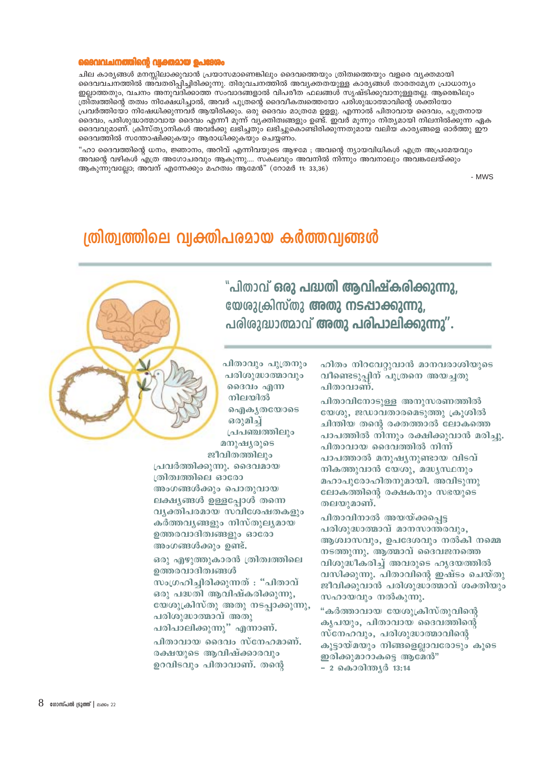## ൻ വക്തമായ പെദേ

ചില കാര്യങ്ങൾ മനസ്സിലാക്കുവാൻ പ്രയാസമാണെങ്കിലും ദൈവത്തെയും ത്രിത്വത്തെയും വളരെ വ്യക്തമായി ദൈവവചനത്തിൽ അവതരിപ്പിച്ചിരിക്കുന്നു. തിരുവചനത്തിൽ അവ്യക്തതയുള്ള കാര്യങ്ങൾ താരതമ്യേന പ്രാധാന്യം ഇല്ലാത്തതും, വചനം അനുവദിക്കാത്ത സംവാദങ്ങളാൽ വിപരീത ഫലങ്ങൾ സൃഷ്ടിക്കുവാനുള്ളതല്ല. ആരെങ്കിലും ത്രീ്ത്വത്തിന്റെ തത്വം നിക്ഷേധിച്ചാൽ, അവർ പുത്രന്റെ ദൈവീകത്വത്തെയോ പരിശുദ്ധാത്മാവിന്റെ ശ്ക്തിയോ പ്രവർത്തിയോ നിഷേധിക്കുന്നവർ ആയിരിക്കും. ഒരു ദൈവം മാത്രമേ ഉള്ളു. എന്നാൽ പിതാവായ ദൈവം, പുത്രനായ ദൈവം, പരിശുദ്ധാത്മാവായ ദൈവം എന്നീ മൂന്ന് വ്യക്തിത്വങ്ങളും ഉണ്ട്. ഇവർ മൂന്നും നിത്യമായി നിലനിൽക്കുന്ന ഏക ദൈവവുമാണ്. ക്രിസ്ത്യാനികൾ അവർക്കു ലഭിച്ചതും ലഭിച്ചുകൊണ്ടിരിക്കുന്നതുമായ വലിയ കാര്യങ്ങളെ ഓർത്തു ഈ ദൈവത്തിൽ സന്തോഷിക്കുകയും ആരാധിക്കുകയും ചെയ്യണം.

"ഹാ ദൈവത്തിന്റെ ധനം, ജ്ഞാനം, അറിവ് എന്നിവയുടെ ആഴമേ ; അവന്റെ ന്യായവിധികൾ എത്ര അപ്രമേയവും അവന്റെ വഴികൾ എത്ര അഗോചരവും ആകുന്നു.... സകലവും അവനിൽ നിന്നും അവനാലും അവങ്കലേയ്ക്കും ആകുന്നുവല്ലോ; അവന് എന്നേക്കും മഹത്വം ആമേൻ" (റോമർ 11: 33,36)

- MWS

# ത്രിത്വത്തിലെ വ്വക്തിപരമായ കർത്തവ്വങ്ങൾ



"പിതാവ് ഒരു പദ്ധതി ആവിഷ്കരിക്കുന്നു, യേശുക്രിസ്തു അതു നടപ്പാക്കുന്നു. പരിരുദ്ധാത്മാവ് അതു പരിപാലിക്കുന്നു".

പിതാവും പുത്രനും പരിശുദ്ധാത്മാവും ദൈവം എന്ന നിലയിൽ ഐകൃതയോടെ ഒരുമിച് പ്രപഞ്ചത്തിലും മനുഷ്യരുടെ ജീവിതത്തിലും

പ്രവർത്തിക്കുന്നു. ദൈവമായ ത്രിത്വത്തിലെ ഓരോ അംഗങ്ങൾക്കും പൊതുവായ ലക്ഷ്യങ്ങൾ ഉള്ളപ്പോൾ തന്നെ വൃക്തിപരമായ സവിശേഷതകളും കർത്തവൃങ്ങളും നിസ്തുല്യമായ ഉത്തരവാദിത്വങ്ങളും ഓരോ അംഗങ്ങൾക്കും ഉണ്ട്.

ഒരു എഴുത്തുകാരൻ ത്രിത്വത്തിലെ ഉത്തരവാദിത്വങ്ങൾ സംഗ്രഹിച്ചിരിക്കുന്നത് : "പിതാവ് ഒരു പദ്ധതി ആവിഷ്കരിക്കുന്നു, യേശുക്രിസ്തു അതു നടപ്പാക്കുന്നു. പരിശുദ്ധാത്മാവ് അതു പരിപാലിക്കുന്നു" എന്നാണ്. പിതാവായ ദൈവം സ്നേഹമാണ്. രക്ഷയുടെ ആവിഷ്ക്കാരവും ഉറവിടവും പിതാവാണ്. തന്റെ

ഹിതം നിറവേറുവാൻ മാനവരാശിയുടെ വീണ്ടെടുപ്പിന് പുത്രനെ അയച്ചതു പിതാവാണ്.

പിതാവിനോടുള്ള അനുസരണത്തിൽ യേശു, ജഡാവതാരമെടുത്തു ക്രുശിൽ ചിന്തിയ തന്റെ രക്തത്താൽ ലോകത്തെ പാപത്തിൽ നിന്നും രക്ഷിക്കുവാൻ മരിച്ചു. പിതാവായ ദൈവത്തിൽ നിന്ന് പാപത്താൽ മനുഷ്യനുണ്ടായ വിടവ് നികത്തുവാൻ യേശു, മദ്ധ്യസ്ഥനും മഹാപുരോഹിതനുമായി. അവിടുന്നു ലോകത്തിന്റെ രക്ഷകനും സഭയുടെ തലയുമാണ്.

പിതാവിനാൽ അയയ്ക്കപ്പെട്ട പരിശുദ്ധാത്മാവ് മാനസാന്തരവും, ആശ്വാസവും, ഉപദേശവും നൽകി നമ്മെ നടത്തുന്നു. ആത്മാവ് ദൈവജനത്തെ വിശുദ്ധീകരിച്ച് അവരുടെ ഹൃദയത്തിൽ വസിക്കുന്നു. പിതാവിന്റെ ഇഷ്ടം ചെയ്തു ജീവിക്കുവാൻ പരിശുദ്ധാത്മാവ് ശക്തിയും സഹായവും നൽകുന്നു.

"കർത്താവായ യേശുക്രിസ്തുവിന്റെ ക്യപയും, പിതാവായ ദൈവത്തിൻെ സ്നേഹവും, പരിശുദ്ധാത്മാവിന്റെ കൂട്ടായ്മയും നിങ്ങളെല്ലാവരോടും കുടെ ഇരിക്കുമാറാകട്ടെ ആമേൻ" - 2 കൊരിന്ത്യർ 13:14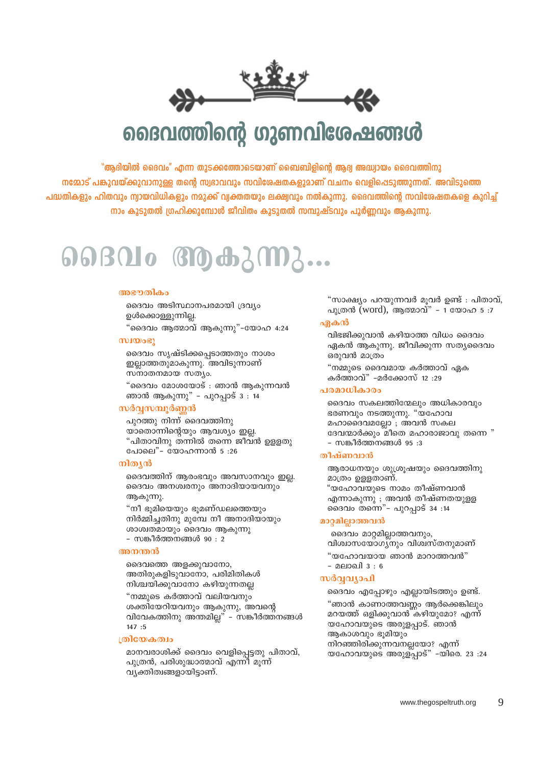വ്യക്തിത്വങ്ങളായിട്ടാണ്.

മാനവരാശിക്ക് ദൈവം വെളിപ്പെട്ടതു പിതാവ്, പുത്രൻ, പരിശുദ്ധാത്മാവ് എന്നി മൂന്ന്

# குலேகலு

 $147:5$ 

വിവേകത്തിനു അന്തമില്ല" – സങ്കീർത്തനങ്ങൾ

ദൈവം എപ്പോഴും എല്ലായിടത്തും ഉണ്ട്. "ഞാൻ കാണാത്തവണ്ണം ആർക്കെങ്കിലും മറയത്ത് ഒളിക്കുവാൻ കഴിയുമോ? എന്ന് യഹോവയുടെ അരുളപ്പാട്. ഞാൻ ആകാശവും ഭൂമിയും നിറഞ്ഞിരിക്കുന്നവനല്ലയോ? എന്ന് യഹോവയുടെ അരുള്പ്പാട്" -യിരെ. 23 :24

# സർവവ്യാപി

- മലാഖി 3 : 6

വിശ്വാസയോഗ്യനും വിശ്വസ്തനുമാണ് "യഹോവയായ ഞാൻ മാറാത്തവൻ"

ദൈവം മാറ്റമില്ലാത്തവനും,

# മാറ്റമില്ലാത്തവൻ

മാത്രം ഉള്ളതാണ്. "യഹോവയുടെ നാമം തീഷ്ണവാൻ എന്നാകുന്നു ; അവൻ തീഷ്ണതയുളള ദൈവം തന്നെ"- പുറപ്പാട് 34 :14

ആരാധനയും ശുശ്രൂഷയും ദൈവത്തിനു

- സങ്കീർത്തനങ്ങൾ 95 :3

# തീഷ്ണവാൻ

മഹാദൈവമല്ലോ ; അവൻ സകല ദേവന്മാർക്കും മീതെ മഹാരാജാവു തന്നെ "

ദൈവം സകലത്തിന്മേലും അധികാരവും ഭരണവും നടത്തുന്നു. "യഹോവ

കർത്താവ്" -മർക്കോസ് 12:29

# പരമാധികാരം

"നമ്മുടെ ദൈവമായ കർത്താവ് ഏക

ഒരുവൻ മാത്രം

പുത്രൻ (word), ആത്മാവ്" - 1 യോഹ 5:7 വിഭജിക്കുവാൻ കഴിയാത്ത വിധം ദൈവം

"സാക്ഷ്യം പറയുന്നവർ മുവർ ഉണ്ട് : പിതാവ്,

# ഏകൻ

ഏകൻ ആകുന്നു. ജീവിക്കുന്ന സത്യദൈവം





ദൈവത്തിന്റെ ഗുണവിശേഷങ്ങൾ

"ആദിയിൽ ദൈവം" എന്ന തുടക്കത്തോടെയാണ് ബൈബിളിന്റെ ആദ്വ അദ്ധ്വായം ദൈവത്തിനു നമ്മോട് പങ്കുവയ്ക്കുവാനുള്ള തന്റെ സ്വഭാവവും സവിശേഷതകളുമാണ് വചനം വെളിപ്പെടുത്തുന്നത്. അവിടുത്തെ പദ്ധതികളും ഹിതവും ന്വായവിധികളും നമുക്ക് വ്വക്തതയും ലക്ഷ്വവും നൽകുന്നു. ദൈവത്തിന്റെ സവിശേഷതകളെ കുറിച്ച് നാം കൂടുതൽ ഗ്രഹിക്കുമ്പോൾ ജീവിതം കൂടുതൽ സമ്പുഷ്ടവും പൂർണ്ണവും ആകുന്നു.

 $0.0801$ o  $0.0000$ 

ദൈവം അടിസ്ഥാനപരമായി ദ്രവ്യം

"ദൈവം ആത്മാവ് ആകുന്നു"-യോഹ 4:24

"ദൈവം മോശയോട് : ഞാൻ ആകുന്നവൻ

"പിതാവിനു തന്നിൽ തന്നെ ജീവൻ ഉള്ളതു

ദൈവത്തിന് ആരംഭവും അവസാനവും ഇല്ല.

ദൈവം അനശ്വരനും അനാദിയായവനും

"നീ ഭൂമിയെയും ഭൂമണ്ഡലത്തെയും നിർമ്മിച്ചതിനു മുമ്പേ നീ അനാദിയായും

ശാശ്വതമായും ദൈവം ആകുന്നു

അതിരുകളിടുവാനോ, പരിമിതികൾ

നിശ്ചയിക്കുവാനോ കഴിയുന്നതല്ല

"നമ്മുടെ കർത്താവ് വലിയവനും

ശക്തിയേറിയവനും ആകുന്നു, അവന്റെ

- സങ്കീർത്തനങ്ങൾ 90 : 2

ദൈവത്തെ അളക്കുവാനോ.

ദൈവം സൃഷ്ടിക്കപ്പെടാത്തതും നാശം

ഇല്ലാത്തതുമാകുന്നു. അവിടുന്നാണ്

ഞാൻ ആകുന്നു" - പുറപ്പാട് 3 : 14

യാതൊന്നിന്റെയും ആവശ്യം ഇല്ല.

പുറത്തു നിന്ന് ദൈവത്തിനു

പോലെ"- യോഹന്നാൻ 5:26

അഭനതികം

 $(1)$ 

നിത്യൻ

ആകുന്നു.

അനന്തൻ

ഉൾക്കൊള്ളുന്നില്ല.

സനാതനമായ സത്യം.

സർവ്വസമ്പൂർണ്ണൻ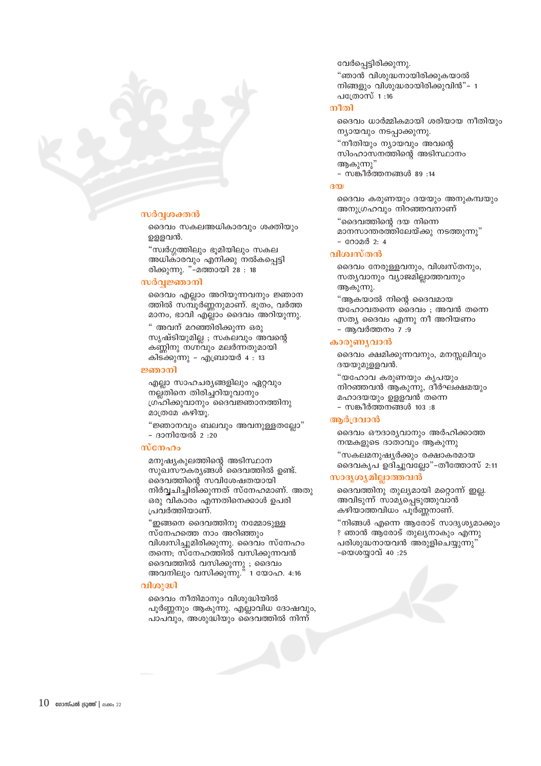

# സർവശക്തൻ

ദൈവം സകലഅധികാരവും ശക്തിയും ഉളളവൻ.

"സ്വർഗ്ഗത്തിലും ഭൂമിയിലും സകല അധികാരവും എനിക്കു നൽകപ്പെട്ടി രിക്കുന്നു. "–്മത്തായി 28 : 18

## സർവ്വജ്ഞാനി

ദൈവം എല്ലാം അറിയുന്നവനും ജ്ഞാന ത്തിൽ സമ്പൂർണ്ണനുമാണ്. ഭുതം, വർത്ത മാനം, ഭാവി എല്ലാം ദൈവം അറിയുന്നു.

" അവന് മറഞ്ഞിരിക്കുന്ന ഒരു സൃഷ്ടിയുമില്ല ; സകലവും അവന്റെ കണ്ണിനു നഗ്നവും മലർന്നതുമായി കിടക്കുന്നു – എബ്രായർ 4 : 13

## ജ്ഞാനി

എല്ലാ സാഹചര്യങ്ങളിലും ഏറ്റവും നല്ല്തിനെ തിരിച്ചറിയുവാനും ഗ്രഹിക്കുവാനും ദൈവജ്ഞാനത്തിനു മാത്രമേ കഴിയു.

"ജ്ഞാനവും ബലവും അവനുള്ളതല്ലോ" - ദാനിയേൽ 2:20

## സ്നേഹം

മനുഷ്യകുലത്തിന്റെ അടിസ്ഥാന സുഖസൗകര്യങ്ങൾ ദൈവത്തിൽ ഉണ്ട്. ദൈവത്തിന്റെ സവിശേഷതയായി നിർവ്വചിച്ചിരിക്കുന്നത് സ്നേഹമാണ്. അതു ഒരു വികാരം എന്നതിനെക്കാൾ ഉപരി പ്രവർത്തിയാണ്.

"ഇങ്ങനെ ദൈവത്തിനു നമ്മോടുള്ള സ്നേഹത്തെ നാം അറിഞ്ഞും വിശ്വസിച്ചുമിരിക്കുന്നു. ദൈവം സ്നേഹം തന്നെ; സ്നേഹത്തിൽ വസിക്കുന്നവൻ ദൈവത്തിൽ വസിക്കുന്നു ; ദൈവം അവനിലും വസിക്കുന്നു." 1 യോഹ. 4:16

## വിശുദ്ധി

 $10$  ഗോസ്പൽ ട്രൂത്ത് | ലക്കം 22

ദൈവം നീതിമാനും വിശുദ്ധിയിൽ പൂർണ്ണനും ആകുന്നു. എല്ലാവിധ ദോഷവും, പാപവും, അശുദ്ധിയും ദൈവത്തിൽ നിന്ന്

# - സങ്കീർത്തനങ്ങൾ 89 :14

"ദൈവത്തിന്റെ ദയ നിന്നെ

- റോമർ 2: 4

വിശ്വസ്തൻ

ആകുന്നു.

- ആവർത്തനം 7 :9

കാരുണ്യവാൻ

ആർദ്രവാൻ

ദയയുമുള്ളവൻ.

ന്യായവും നടപ്പാക്കുന്നു.

വേർപ്പെട്ടിരിക്കുന്നു.

പത്രോസ് 1 :16

നീതി

 $(300)$ 

ആകുന്നു"

അനുഗ്രഹവും നിറഞ്ഞവനാണ്

ദൈവം ധാർമ്മികമായി ശരിയായ നീതിയും

ദൈവം കരുണയും ദയയും അനുകമ്പയും

മാനസാന്തരത്തിലേയ്ക്കു നടത്തുന്നു"

ദൈവം നേരുള്ളവനും, വിശ്വസ്തനും,

യഹോവതന്നെ ദൈവം ; അവൻ തന്നെ

ദൈവം ക്ഷമിക്കുന്നവനും, മനസലിവും

നിറഞ്ഞവൻ ആകുന്നു, ദീർഘക്ഷമയും

ദൈവം ഔദാര്യവാനും അർഹിക്കാത്ത

ദൈവകൃപ ഉദിച്ചുവല്ലോ"-തീത്തോസ് 2:11

"നിങ്ങൾ എന്നെ ആരോട് സാദൃശ്യമാക്കും

ദൈവത്തിനു തുല്യമായി മറ്റൊന്ന് ഇല്ല. അവിടുന്ന് സാമ്യപ്പെടുത്തുവാൻ

? ഞാൻ ആരോട് തുലൃനാകും എന്നു

പരിശുദ്ധനായവൻ അരുളിചെയ്യുന്നു"

"സകലമനുഷ്യർക്കും രക്ഷാകരമായ

സത്യ ദൈവം എന്നു നീ അറിയണം

സത്യവാനും വ്യാജമില്ലാത്തവനും

"ആകയാൽ നിന്റെ ദൈവമായ

"യഹോവ കരുണയും കൃപയും

നന്മകളുടെ ദാതാവും ആകുന്നു

കഴിയാത്തവിധം പൂർണ്ണനാണ്.

മഹാദയയും ഉള്ളവൻ തന്നെ

- സങ്കീർത്തനങ്ങൾ 103:8

സാദൃശ്യമില്ലാത്തവൻ

-യെശയ്യാവ് 40 :25

"ഞാൻ വിശുദ്ധനായിരിക്കുകയാൽ നിങ്ങളും വിശുദ്ധരായിരിക്കുവിൻ"- 1

സിംഹാസനത്തിന്റെ അടിസ്ഥാനം

"നീതിയും ന്യായവും അവന്റെ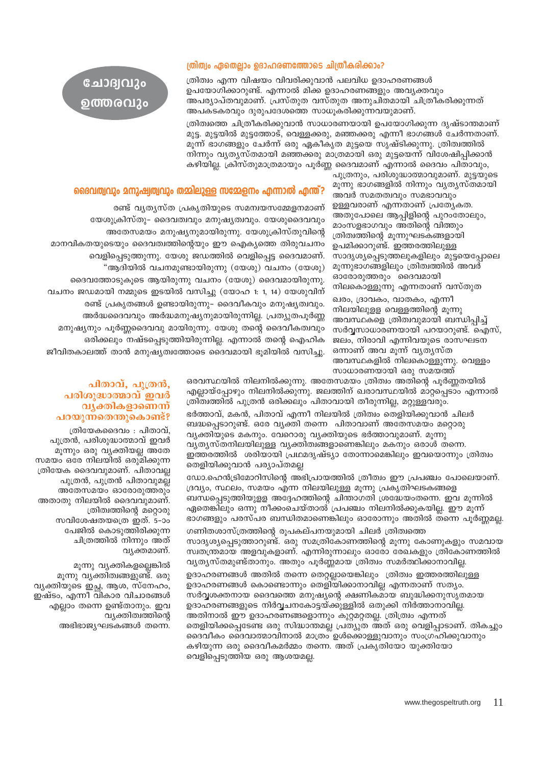# ത്രിത്വം ഏതെല്ലാം ഉദാഹരണത്തോടെ ചിത്രീകരിക്കാം?

ത്രിത്വം എന്ന വിഷയം വിവരിക്കുവാൻ പലവിധ ഉദാഹരണങ്ങൾ ഉപയോഗിക്കാറുണ്ട്. എന്നാൽ മിക്ക ഉദാഹരണങ്ങളും അവൃക്തവും അപര്യാപ്തവുമാണ്. പ്രസ്തുത വസ്തുത അനുചിതമായി ചിത്രീകരിക്കുന്നത് അപകടകരവും ദുരുപദേശത്തെ സാധൂകരിക്കുന്നവയുമാണ്.

ത്രിത്വത്തെ ചിത്രീകരിക്കുവാൻ സാധാരണയായി ഉപയോഗിക്കുന്ന ദൃഷ്ടാന്തമാണ് മുട്ട. മുട്ടയിൽ മുട്ടത്തോട്, വെള്ളക്കരു, മഞ്ഞക്കരു എന്നീ ഭാഗങ്ങൾ ചേർന്നതാണ്. മൂന്ന് ഭാഗങ്ങളും ചേർന്ന് ഒരു ഏകീകൃത മുട്ടയെ സൃഷ്ടിക്കുന്നു. ത്രിത്വത്തിൽ നിന്നും വ്യതൃസ്തമായി മഞ്ഞക്കരു മാത്രമായി ഒരു മുട്ടയെന്ന് വിശേഷിപ്പിക്കാൻ കഴിയില്ല. ക്രിസ്തുമാത്രമായും പൂർണ്ണ ദൈവമാണ് എന്നാൽ ദൈവം പിതാവും,

> പുത്രനും, പരിശുദ്ധാത്മാവുമാണ്. മുട്ടയുടെ മൂന്നു ഭാഗങ്ങളിൽ നിന്നും വ്യത്യസ്തമായി അവർ സമതത്വവും സമഭാവവും ഉള്ളവരാണ് എന്നതാണ് പ്രത്യേകത. അതുപോലെ ആപ്പിളിന്റെ പുറംതോലും, മാംസളഭാഗവും അതിന്റെ വിത്തും ത്രിത്വത്തിന്റെ മൂന്നുഘടകങ്ങളായി ഉപമിക്കാറുണ്ട്. ഇത്തരത്തിലുള്ള സാദൃശ്യപ്പെടുത്തലുകളിലും മുട്ടയെപ്പോലെ മുന്നുഭാഗങ്ങളിലും ത്രിത്വത്തിൽ അവർ ഓരോരുത്തരും ദൈവമായി നിലകൊള്ളുന്നു എന്നതാണ് വസ്തുത

ഖരം, ദ്രാവകം, വാതകം, എന്നീ നിലയിലുളള വെള്ളത്തിന്റെ മൂന്നു അവസ്ഥകളെ ത്രിത്വവുമായി ബന്ധിപ്പിച്ച് സർവ്വസാധാരണയായി പറയാറുണ്ട്. ഐസ്, ജലം, നിരാവി എന്നിവയുടെ രാസഘടന ഒന്നാണ് അവ മൂന്ന് വൃതൃസ്ത അവസ്ഥകളിൽ നിലകൊള്ളുന്നു. വെള്ളം സാധാരണയായി ഒരു സമയത്ത്

ദൈവത്വവും മനുഷ്വത്വവും തമ്മിലുള്ള സമ്മേളനം എന്നാൽ എന്ത്?

രണ്ട് വ്യത്യസ്ത പ്രകൃതിയുടെ സമന്വയസമ്മേളനമാണ് യേശുക്രിസ്തു– ദൈവത്വവും മനുഷ്യത്വവും. യേശുദൈവവും അതേസമയം മനുഷ്യനുമായിരുന്നു. യേശുക്രിസ്തുവിന്റെ മാനവികതയുടെയും ദൈവത്വത്തിന്റെയും ഈ ഐക്യത്തെ തിരുവചനം വെളിപ്പെടുത്തുന്നു. യേശു ജഡത്തിൽ വെളിപ്പെട്ട ദൈവമാണ്. "ആദിയിൽ വചനമുണ്ടായിരുന്നു (യേശു) വചനം (യേശു) ദൈവത്തോടുകുടെ ആയിരുന്നു വചനം (യേശു) ദൈവമായിരുന്നു. വചനം ജഡമായി നമ്മുടെ ഇടയിൽ വസിച്ചു (യോഹ 1: 1, 14) യേശുവിന് രണ്ട് പ്രകൃതങ്ങൾ ഉണ്ടായിരുന്നു– ദൈവീകവും മനുഷ്യത്വവും. അർദ്ധദൈവവും അർദ്ധമനുഷ്യനുമായിരുന്നില്ല. പ്രത്യുതപൂർണ്ണ മനുഷ്യനും പൂർണ്ണദൈവവു മായിരുന്നു. യേശു തന്റെ ദൈവീകത്വവും ഒരിക്കലും നഷ്ടപ്പെടുത്തിയിരുന്നില്ല. എന്നാൽ തന്റെ ഐഹിക ജീവിതകാലത്ത് താൻ മനുഷ്യത്വത്തോടെ ദൈവമായി ഭൂമിയിൽ വസിച്ചു.

> ഒരവസ്ഥയിൽ നിലനിൽക്കുന്നു. അതേസമയം ത്രിത്വം അതിന്റെ പൂർണ്ണതയിൽ എല്ലായ്പ്പോഴും നിലനിൽക്കുന്നു. ജലത്തിന് ഖരാവസ്ഥയിൽ മാറ്റപ്പെടാം എന്നാൽ ത്രിത്വത്തിൽ പുത്രൻ ഒരിക്കലും പിതാവായി തീരുന്നില്ല, മറ്റുള്ളവരും. ഭർത്താവ്, മകൻ, പിതാവ് എന്നീ നിലയിൽ ത്രിത്വം തെളിയിക്കുവാൻ ചിലർ ബദ്ധപ്പെടാറുണ്ട്. ഒരേ വ്യക്തി തന്നെ പിതാവാണ് അതേസമയം മറ്റൊരു വൃക്തിയുടെ മകനും. വേറൊരു വൃക്തിയുടെ ഭർത്താവുമാണ്. മൂന്നു വ്യത്യസ്തനിലയിലുള്ള വ്യക്തിത്വങ്ങളാണെങ്കിലും മകനും ഒരാൾ തന്നെ.

> ഇത്തരത്തിൽ ശരിയായി പ്രഥമദൃഷ്ട്യാ തോന്നാമെങ്കിലും ഇവയൊന്നും ത്രിത്വം തെളിയിക്കുവാൻ പര്യാപ്തമല്ല

ഡോ.ഹെൻട്രിമോറിസിന്റെ അഭിപ്രായത്തിൽ ത്രീത്വം ഈ പ്രപഞ്ചം പോലെയാണ്. ദ്രവ്യം, സ്ഥലം, സമയം എന്ന നിലയിലുള്ള മൂന്നു പ്രകൃതിഘടകങ്ങളെ ബന്ധപെടുത്തിയുള്ള അദ്ദേഹത്തിന്റെ ചിന്താഗതി ശ്രദ്ധേയംതന്നെ. ഇവ മുന്നിൽ ഏതെങ്കിലും ഒന്നു നീക്കംചെയ്താൽ പ്രപഞ്ചം നിലനിൽക്കുകയില്ല. ഈ മൂന്ന് ഭാഗങ്ങളും പരസ്പര ബന്ധിതമാണെങ്കിലും ഓരോന്നും അതിൽ തന്നെ പൂർണ്ണമല്ല.

ഗണിതശാസ്ത്രത്തിന്റെ രൂപകല്പനയുമായി ചിലർ ത്രിത്വത്തെ സാദൃശ്യപ്പെടുത്താറുണ്ട്. ഒരു സമത്രികോണത്തിന്റെ മൂന്നു കോണുകളും സമവായ സ്വതന്ത്രമായ അളവുകളാണ്. എന്നിരുന്നാലും ഓരോ രേഖകളും ത്രികോണത്തിൽ വൃതൃസ്തമുണ്ട്താനും. അതും പൂർണ്ണമായ ത്രിത്വം സമർത്ഥിക്കാനാവില്ല. ഉദാഹരണങ്ങൾ അതിൽ തന്നെ തെറ്റല്ലായെങ്കിലും ത്രിത്വം ഇത്തരത്തിലുള്ള ഉദാഹരണങ്ങൾ കൊണ്ടൊന്നും തെളിയിക്കാനാവില എന്നതാണ് സത്യം. സർവശക്തനായ ദൈവത്തെ മനുഷ്യന്റെ ക്ഷണികമായ ബുദ്ധിക്കനുസൃതമായ ഉദാഹരണങ്ങളുടെ നിർവ്വചനകോട്ടയ്ക്കുള്ളിൽ ഒതുക്കി നിർത്താനാവില്ല. അതിനാൽ ഈ ഉദാഹരണങ്ങളൊന്നും കുറ്റമറ്റതല്ല. ത്രിത്ര്വം എന്നത് തെളിയിക്കപ്പെടേണ്ട ഒരു സിദ്ധാന്തമല്ല പ്രത്യുത അത് ഒരു വെളിപ്പാടാണ്. തികച്ചും ദൈവീകം ദൈവാത്മാവിനാൽ മാത്രം ഉൾക്കൊള്ളുവാനും സംഗ്രഹിക്കുവാനും കഴിയുന്ന ഒരു ദൈവീകമർമ്മം തന്നെ. അത് പ്രകൃതിയോ യുക്തിയോ വെളിപ്പെടുത്തിയ ഒരു ആശയമല്ല.

# പിതാവ്, പുത്രൻ, പരിശുദ്ധാത്മാവ് ഇവർ വൃക്തികളാണെന്ന് പറയുന്നതെന്തുകൊണ്ട്?

ചോദ്വവും

ഉത്തരവും

ത്രിയേകദൈവം : പിതാവ്, പുത്രൻ, പരിശുദ്ധാത്മാവ് ഇവർ മൂന്നും ഒരു വ്യക്തിയല്ല അതേ സമയം ഒരേ നിലയിൽ ഒരുമിക്കുന്ന ത്രിയേക ദൈവവുമാണ്. പിതാവല്ല പുത്രൻ, പുത്രൻ പിതാവുമല്ല അതേസമയം ഓരോരുത്തരും അതാതു നിലയിൽ ദൈവവുമാണ്. ത്രിത്വത്തിന്റെ മറ്റൊരു സവിശേഷതയത്രെ ഇത്. 5-ാം പേജിൽ കൊടുത്തിരിക്കുന്ന ചിത്രത്തിൽ നിന്നും അത് വൃക്തമാണ്.

മൂന്നു വ്യക്തികളല്ലെങ്കിൽ മുന്നു വ്യക്തിത്വങ്ങളുണ്ട്. ഒരു വൃക്തിയുടെ ഇച്ഛ, ആശ, സ്നേഹം, ഇഷ്ടം, എന്നീ വികാര വിചാരങ്ങൾ എല്ലാം തന്നെ ഉണ്ട്താനും. ഇവ വ്യക്തിത്വത്തിന്റെ അഭിഭാജ്യഘടകങ്ങൾ തന്നെ.